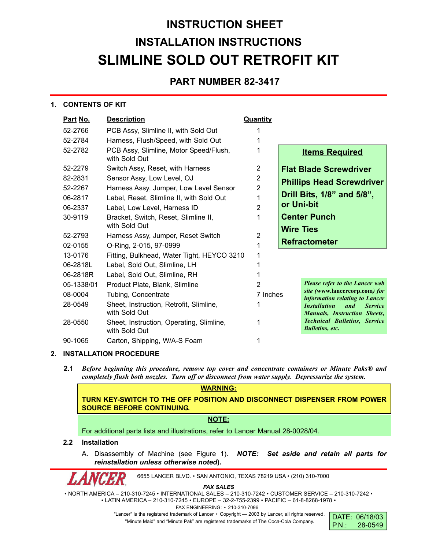## **INSTRUCTION SHEET INSTALLATION INSTRUCTIONS SLIMLINE SOLD OUT RETROFIT KIT**

### **PART NUMBER 82-3417**

#### **1. CONTENTS OF KIT**

| Part No.   | <b>Description</b>                                        | <b>Quantity</b> |                                                                                                                                      |                                                                                                                                                               |  |
|------------|-----------------------------------------------------------|-----------------|--------------------------------------------------------------------------------------------------------------------------------------|---------------------------------------------------------------------------------------------------------------------------------------------------------------|--|
| 52-2766    | PCB Assy, Slimline II, with Sold Out                      |                 |                                                                                                                                      |                                                                                                                                                               |  |
| 52-2784    | Harness, Flush/Speed, with Sold Out                       |                 |                                                                                                                                      |                                                                                                                                                               |  |
| 52-2782    | PCB Assy, Slimline, Motor Speed/Flush,<br>with Sold Out   |                 |                                                                                                                                      | <b>Items Required</b>                                                                                                                                         |  |
| 52-2279    | Switch Assy, Reset, with Harness                          | $\overline{2}$  | <b>Flat Blade Screwdriver</b><br><b>Phillips Head Screwdriver</b><br>Drill Bits, 1/8" and 5/8",<br>or Uni-bit<br><b>Center Punch</b> |                                                                                                                                                               |  |
| 82-2831    | Sensor Assy, Low Level, OJ                                | $\overline{2}$  |                                                                                                                                      |                                                                                                                                                               |  |
| 52-2267    | Harness Assy, Jumper, Low Level Sensor                    | 2               |                                                                                                                                      |                                                                                                                                                               |  |
| 06-2817    | Label, Reset, Slimline II, with Sold Out                  | 1               |                                                                                                                                      |                                                                                                                                                               |  |
| 06-2337    | Label, Low Level, Harness ID                              | $\overline{2}$  |                                                                                                                                      |                                                                                                                                                               |  |
| 30-9119    | Bracket, Switch, Reset, Slimline II,                      | 1               |                                                                                                                                      |                                                                                                                                                               |  |
|            | with Sold Out                                             |                 | <b>Wire Ties</b>                                                                                                                     |                                                                                                                                                               |  |
| 52-2793    | Harness Assy, Jumper, Reset Switch                        | $\overline{2}$  |                                                                                                                                      | <b>Refractometer</b>                                                                                                                                          |  |
| 02-0155    | O-Ring, 2-015, 97-0999                                    | 1               |                                                                                                                                      |                                                                                                                                                               |  |
| 13-0176    | Fitting, Bulkhead, Water Tight, HEYCO 3210                | 1               |                                                                                                                                      |                                                                                                                                                               |  |
| 06-2818L   | Label, Sold Out, Slimline, LH                             |                 |                                                                                                                                      |                                                                                                                                                               |  |
| 06-2818R   | Label, Sold Out, Slimline, RH                             |                 |                                                                                                                                      |                                                                                                                                                               |  |
| 05-1338/01 | Product Plate, Blank, Slimline                            | 2               |                                                                                                                                      | <b>Please refer to the Lancer web</b>                                                                                                                         |  |
| 08-0004    | Tubing, Concentrate                                       | 7 Inches        |                                                                                                                                      | site (www.lancercorp.com) for<br>information relating to Lancer<br><i><b>Installation</b></i><br>and<br><b>Service</b><br><b>Manuals, Instruction Sheets,</b> |  |
| 28-0549    | Sheet, Instruction, Retrofit, Slimline,<br>with Sold Out  | 1               |                                                                                                                                      |                                                                                                                                                               |  |
| 28-0550    | Sheet, Instruction, Operating, Slimline,<br>with Sold Out | 1               |                                                                                                                                      | <b>Technical Bulletins, Service</b><br><b>Bulletins</b> , etc.                                                                                                |  |
| 90-1065    | Carton, Shipping, W/A-S Foam                              | 1               |                                                                                                                                      |                                                                                                                                                               |  |

#### **2. INSTALLATION PROCEDURE**

**2.1** *Before beginning this procedure, remove top cover and concentrate containers or Minute Paks® and completely flush both nozzles. Turn off or disconnect from water supply. Depressurize the system.*

#### **WARNING:**

**TURN KEY-SWITCH TO THE OFF POSITION AND DISCONNECT DISPENSER FROM POWER SOURCE BEFORE CONTINUING.**

#### **NOTE:**

For additional parts lists and illustrations, refer to Lancer Manual 28-0028/04.

#### **2.2 Installation**

A. Disassembly of Machine (see Figure 1). *NOTE: Set aside and retain all parts for reinstallation unless otherwise noted***).**

6655 LANCER BLVD. • SAN ANTONIO, TEXAS 78219 USA • (210) 310-7000

*FAX SALES*

• NORTH AMERICA – 210-310-7245 • INTERNATIONAL SALES – 210-310-7242 • CUSTOMER SERVICE – 210-310-7242 • • LATIN AMERICA – 210-310-7245 • EUROPE – 32-2-755-2399 • PACIFIC – 61-8-8268-1978 •

FAX ENGINEERING: • 210-310-7096

"Lancer" is the registered trademark of Lancer • Copyright - 2003 by Lancer, all rights reserved. "Minute Maid" and "Minute Pak" are registered trademarks of The Coca-Cola Company.

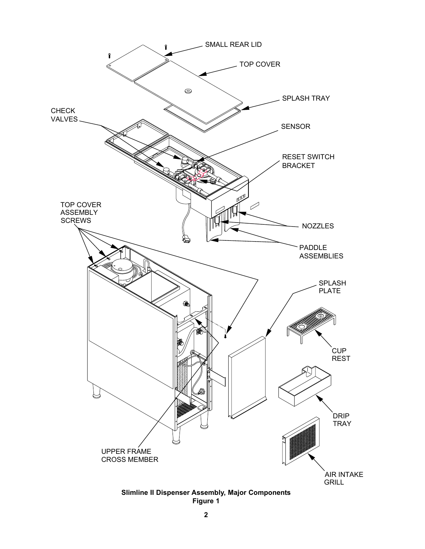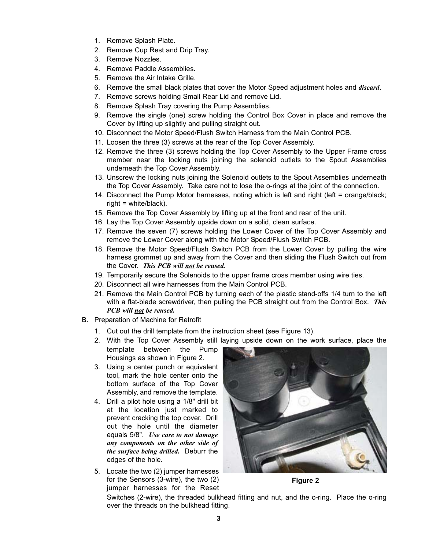- 1. Remove Splash Plate.
- 2. Remove Cup Rest and Drip Tray.
- 3. Remove Nozzles.
- 4. Remove Paddle Assemblies.
- 5. Remove the Air Intake Grille.
- 6. Remove the small black plates that cover the Motor Speed adjustment holes and *discard*.
- 7. Remove screws holding Small Rear Lid and remove Lid.
- 8. Remove Splash Tray covering the Pump Assemblies.
- 9. Remove the single (one) screw holding the Control Box Cover in place and remove the Cover by lifting up slightly and pulling straight out.
- 10. Disconnect the Motor Speed/Flush Switch Harness from the Main Control PCB.
- 11. Loosen the three (3) screws at the rear of the Top Cover Assembly.
- 12. Remove the three (3) screws holding the Top Cover Assembly to the Upper Frame cross member near the locking nuts joining the solenoid outlets to the Spout Assemblies underneath the Top Cover Assembly.
- 13. Unscrew the locking nuts joining the Solenoid outlets to the Spout Assemblies underneath the Top Cover Assembly. Take care not to lose the o-rings at the joint of the connection.
- 14. Disconnect the Pump Motor harnesses, noting which is left and right (left = orange/black; right = white/black).
- 15. Remove the Top Cover Assembly by lifting up at the front and rear of the unit.
- 16. Lay the Top Cover Assembly upside down on a solid, clean surface.
- 17. Remove the seven (7) screws holding the Lower Cover of the Top Cover Assembly and remove the Lower Cover along with the Motor Speed/Flush Switch PCB.
- 18. Remove the Motor Speed/Flush Switch PCB from the Lower Cover by pulling the wire harness grommet up and away from the Cover and then sliding the Flush Switch out from the Cover. *This PCB will not be reused.*
- 19. Temporarily secure the Solenoids to the upper frame cross member using wire ties.
- 20. Disconnect all wire harnesses from the Main Control PCB.
- 21. Remove the Main Control PCB by turning each of the plastic stand-offs 1/4 turn to the left with a flat-blade screwdriver, then pulling the PCB straight out from the Control Box. *This PCB will not be reused.*
- B. Preparation of Machine for Retrofit
	- 1. Cut out the drill template from the instruction sheet (see Figure 13).
	- 2. With the Top Cover Assembly still laying upside down on the work surface, place the template between the Pump Housings as shown in Figure 2.
	- 3. Using a center punch or equivalent tool, mark the hole center onto the bottom surface of the Top Cover Assembly, and remove the template.
	- 4. Drill a pilot hole using a 1/8" drill bit at the location just marked to prevent cracking the top cover. Drill out the hole until the diameter equals 5/8". *Use care to not damage any components on the other side of the surface being drilled.* Deburr the edges of the hole.
	- 5. Locate the two (2) jumper harnesses for the Sensors (3-wire), the two (2) jumper harnesses for the Reset



**Figure 2**

Switches (2-wire), the threaded bulkhead fitting and nut, and the o-ring. Place the o-ring over the threads on the bulkhead fitting.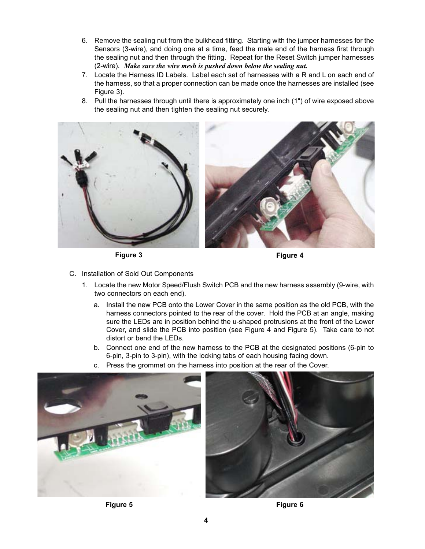- 6. Remove the sealing nut from the bulkhead fitting. Starting with the jumper harnesses for the Sensors (3-wire), and doing one at a time, feed the male end of the harness first through the sealing nut and then through the fitting. Repeat for the Reset Switch jumper harnesses (2-wire). *Make sure the wire mesh is pushed down below the sealing nut.*
- 7. Locate the Harness ID Labels. Label each set of harnesses with a R and L on each end of the harness, so that a proper connection can be made once the harnesses are installed (see Figure 3).
- 8. Pull the harnesses through until there is approximately one inch (1") of wire exposed above the sealing nut and then tighten the sealing nut securely.





- C. Installation of Sold Out Components
	- 1. Locate the new Motor Speed/Flush Switch PCB and the new harness assembly (9-wire, with two connectors on each end).
		- a. Install the new PCB onto the Lower Cover in the same position as the old PCB, with the harness connectors pointed to the rear of the cover. Hold the PCB at an angle, making sure the LEDs are in position behind the u-shaped protrusions at the front of the Lower Cover, and slide the PCB into position (see Figure 4 and Figure 5). Take care to not distort or bend the LEDs.
		- b. Connect one end of the new harness to the PCB at the designated positions (6-pin to 6-pin, 3-pin to 3-pin), with the locking tabs of each housing facing down.
		- c. Press the grommet on the harness into position at the rear of the Cover.







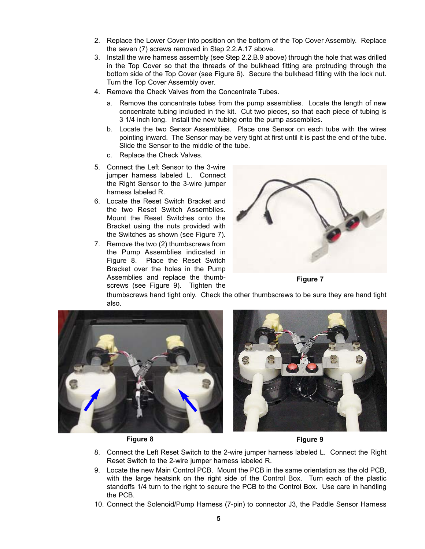- 2. Replace the Lower Cover into position on the bottom of the Top Cover Assembly. Replace the seven (7) screws removed in Step 2.2.A.17 above.
- 3. Install the wire harness assembly (see Step 2.2.B.9 above) through the hole that was drilled in the Top Cover so that the threads of the bulkhead fitting are protruding through the bottom side of the Top Cover (see Figure 6). Secure the bulkhead fitting with the lock nut. Turn the Top Cover Assembly over.
- 4. Remove the Check Valves from the Concentrate Tubes.
	- a. Remove the concentrate tubes from the pump assemblies. Locate the length of new concentrate tubing included in the kit. Cut two pieces, so that each piece of tubing is 3 1/4 inch long. Install the new tubing onto the pump assemblies.
	- b. Locate the two Sensor Assemblies. Place one Sensor on each tube with the wires pointing inward. The Sensor may be very tight at first until it is past the end of the tube. Slide the Sensor to the middle of the tube.
	- c. Replace the Check Valves.
- 5. Connect the Left Sensor to the 3-wire jumper harness labeled L. Connect the Right Sensor to the 3-wire jumper harness labeled R.
- 6. Locate the Reset Switch Bracket and the two Reset Switch Assemblies. Mount the Reset Switches onto the Bracket using the nuts provided with the Switches as shown (see Figure 7).
- 7. Remove the two (2) thumbscrews from the Pump Assemblies indicated in Figure 8. Place the Reset Switch Bracket over the holes in the Pump Assemblies and replace the thumbscrews (see Figure 9). Tighten the



**Figure 7**

thumbscrews hand tight only. Check the other thumbscrews to be sure they are hand tight also.



**Figure 8 Figure 9**

- 8. Connect the Left Reset Switch to the 2-wire jumper harness labeled L. Connect the Right Reset Switch to the 2-wire jumper harness labeled R.
- 9. Locate the new Main Control PCB. Mount the PCB in the same orientation as the old PCB, with the large heatsink on the right side of the Control Box. Turn each of the plastic standoffs 1/4 turn to the right to secure the PCB to the Control Box. Use care in handling the PCB.
- 10. Connect the Solenoid/Pump Harness (7-pin) to connector J3, the Paddle Sensor Harness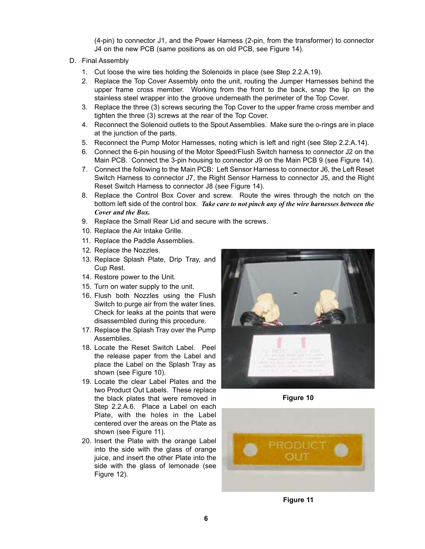(4-pin) to connector J1, and the Power Harness (2-pin, from the transformer) to connector J4 on the new PCB (same positions as on old PCB, see Figure 14).

- D. Final Assembly
	- 1. Cut loose the wire ties holding the Solenoids in place (see Step 2.2.A.19).
	- 2. Replace the Top Cover Assembly onto the unit, routing the Jumper Harnesses behind the upper frame cross member. Working from the front to the back, snap the lip on the stainless steel wrapper into the groove underneath the perimeter of the Top Cover.
	- 3. Replace the three (3) screws securing the Top Cover to the upper frame cross member and tighten the three (3) screws at the rear of the Top Cover.
	- 4. Reconnect the Solenoid outlets to the Spout Assemblies. Make sure the o-rings are in place at the junction of the parts.
	- 5. Reconnect the Pump Motor Harnesses, noting which is left and right (see Step 2.2.A.14).
	- 6. Connect the 6-pin housing of the Motor Speed/Flush Switch harness to connector J2 on the Main PCB. Connect the 3-pin housing to connector J9 on the Main PCB 9 (see Figure 14).
	- 7. Connect the following to the Main PCB: Left Sensor Harness to connector J6, the Left Reset Switch Harness to connector J7, the Right Sensor Harness to connector J5, and the Right Reset Switch Harness to connector J8 (see Figure 14).
	- 8. Replace the Control Box Cover and screw. Route the wires through the notch on the bottom left side of the control box. *Take care to not pinch any of the wire harnesses between the Cover and the Box.*
	- 9. Replace the Small Rear Lid and secure with the screws.
	- 10. Replace the Air Intake Grille.
	- 11. Replace the Paddle Assemblies.
	- 12. Replace the Nozzles.
	- 13. Replace Splash Plate, Drip Tray, and Cup Rest.
	- 14. Restore power to the Unit.
	- 15. Turn on water supply to the unit.
	- 16. Flush both Nozzles using the Flush Switch to purge air from the water lines. Check for leaks at the points that were disassembled during this procedure.
	- 17. Replace the Splash Tray over the Pump Assemblies.
	- 18. Locate the Reset Switch Label. Peel the release paper from the Label and place the Label on the Splash Tray as shown (see Figure 10).
	- 19. Locate the clear Label Plates and the two Product Out Labels. These replace the black plates that were removed in Step 2.2.A.6. Place a Label on each Plate, with the holes in the Label centered over the areas on the Plate as shown (see Figure 11).
	- 20. Insert the Plate with the orange Label into the side with the glass of orange juice, and insert the other Plate into the side with the glass of lemonade (see Figure 12).



**Figure 10**



**Figure 11**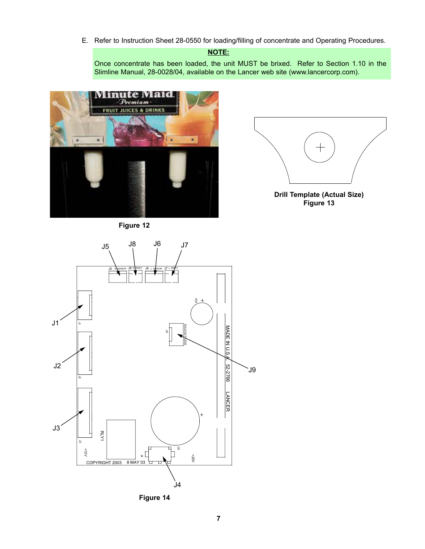E. Refer to Instruction Sheet 28-0550 for loading/filling of concentrate and Operating Procedures.

#### **NOTE:**

Once concentrate has been loaded, the unit MUST be brixed. Refer to Section 1.10 in the Slimline Manual, 28-0028/04, available on the Lancer web site (www.lancercorp.com).



**Figure 12**



**Drill Template (Actual Size) Figure 13**